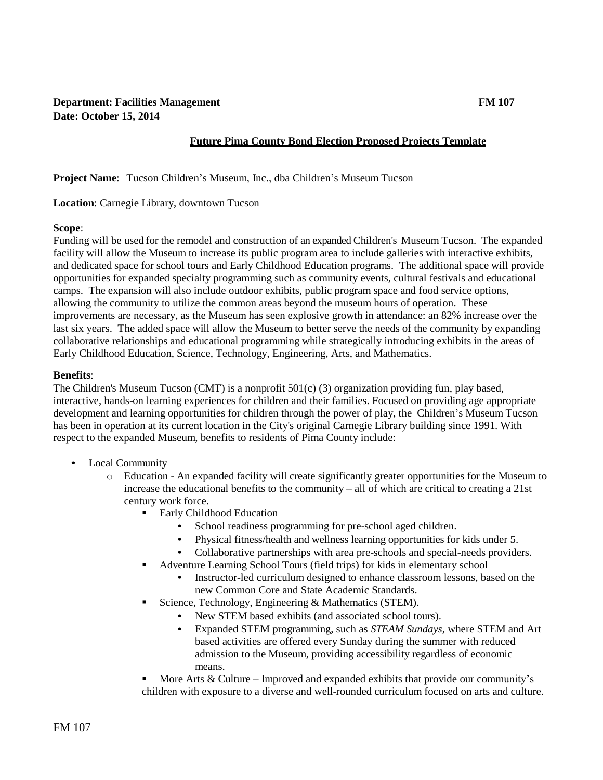## **Department: Facilities Management FM 107 Date: October 15, 2014**

## **Future Pima County Bond Election Proposed Projects Template**

**Project Name**: Tucson Children's Museum, Inc., dba Children's Museum Tucson

**Location**: Carnegie Library, downtown Tucson

#### **Scope**:

Funding will be used for the remodel and construction of an expanded Children's Museum Tucson. The expanded facility will allow the Museum to increase its public program area to include galleries with interactive exhibits, and dedicated space for school tours and Early Childhood Education programs. The additional space will provide opportunities for expanded specialty programming such as community events, cultural festivals and educational camps. The expansion will also include outdoor exhibits, public program space and food service options, allowing the community to utilize the common areas beyond the museum hours of operation. These improvements are necessary, as the Museum has seen explosive growth in attendance: an 82% increase over the last six years. The added space will allow the Museum to better serve the needs of the community by expanding collaborative relationships and educational programming while strategically introducing exhibits in the areas of Early Childhood Education, Science, Technology, Engineering, Arts, and Mathematics.

#### **Benefits**:

The Children's Museum Tucson (CMT) is a nonprofit 501(c) (3) organization providing fun, play based, interactive, hands-on learning experiences for children and their families. Focused on providing age appropriate development and learning opportunities for children through the power of play, the Children's Museum Tucson has been in operation at its current location in the City's original Carnegie Library building since 1991. With respect to the expanded Museum, benefits to residents of Pima County include:

- Local Community
	- o Education An expanded facility will create significantly greater opportunities for the Museum to increase the educational benefits to the community – all of which are critical to creating a 21st century work force.
		- Early Childhood Education
			- School readiness programming for pre-school aged children.
			- Physical fitness/health and wellness learning opportunities for kids under 5.
			- Collaborative partnerships with area pre-schools and special-needs providers.
		- Adventure Learning School Tours (field trips) for kids in elementary school
			- Instructor-led curriculum designed to enhance classroom lessons, based on the new Common Core and State Academic Standards.
		- Science, Technology, Engineering  $&$  Mathematics (STEM).
			- New STEM based exhibits (and associated school tours).
			- Expanded STEM programming, such as *STEAM Sundays,* where STEM and Art based activities are offered every Sunday during the summer with reduced admission to the Museum, providing accessibility regardless of economic means.

More Arts  $&$  Culture – Improved and expanded exhibits that provide our community's children with exposure to a diverse and well-rounded curriculum focused on arts and culture.